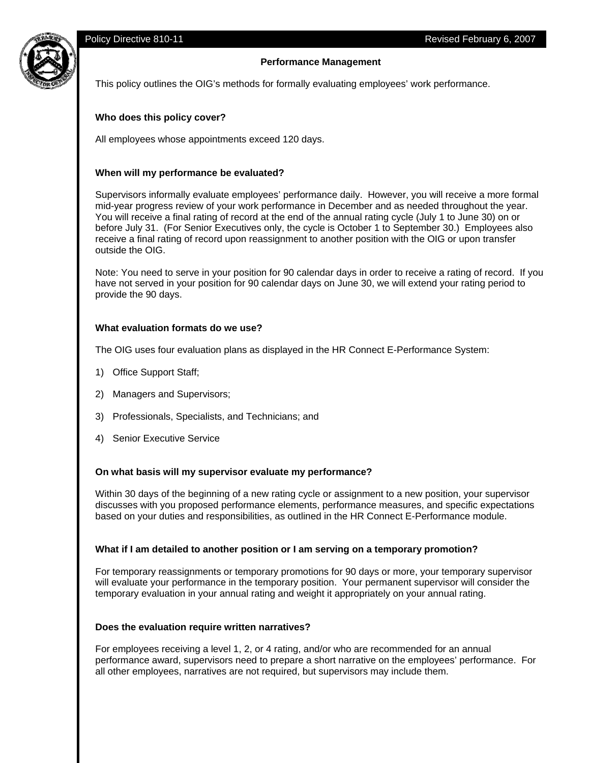# **Performance Management**



This policy outlines the OIG's methods for formally evaluating employees' work performance.

### **Who does this policy cover?**

All employees whose appointments exceed 120 days.

## **When will my performance be evaluated?**

Supervisors informally evaluate employees' performance daily. However, you will receive a more formal mid-year progress review of your work performance in December and as needed throughout the year. You will receive a final rating of record at the end of the annual rating cycle (July 1 to June 30) on or before July 31. (For Senior Executives only, the cycle is October 1 to September 30.) Employees also receive a final rating of record upon reassignment to another position with the OIG or upon transfer outside the OIG.

Note: You need to serve in your position for 90 calendar days in order to receive a rating of record. If you have not served in your position for 90 calendar days on June 30, we will extend your rating period to provide the 90 days.

#### **What evaluation formats do we use?**

The OIG uses four evaluation plans as displayed in the HR Connect E-Performance System:

- 1) Office Support Staff;
- 2) Managers and Supervisors;
- 3) Professionals, Specialists, and Technicians; and
- 4) Senior Executive Service

### **On what basis will my supervisor evaluate my performance?**

Within 30 days of the beginning of a new rating cycle or assignment to a new position, your supervisor discusses with you proposed performance elements, performance measures, and specific expectations based on your duties and responsibilities, as outlined in the HR Connect E-Performance module.

### **What if I am detailed to another position or I am serving on a temporary promotion?**

For temporary reassignments or temporary promotions for 90 days or more, your temporary supervisor will evaluate your performance in the temporary position. Your permanent supervisor will consider the temporary evaluation in your annual rating and weight it appropriately on your annual rating.

### **Does the evaluation require written narratives?**

For employees receiving a level 1, 2, or 4 rating, and/or who are recommended for an annual performance award, supervisors need to prepare a short narrative on the employees' performance. For all other employees, narratives are not required, but supervisors may include them.